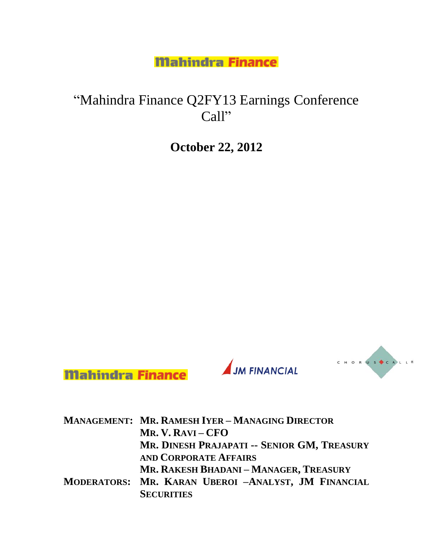# "Mahindra Finance Q2FY13 Earnings Conference Call"

**October 22, 2012**





**JM FINANCIAL** 

| <b>MANAGEMENT: MR. RAMESH IYER - MANAGING DIRECTOR</b> |
|--------------------------------------------------------|
| MR. V. RAVI – CFO                                      |
| MR. DINESH PRAJAPATI -- SENIOR GM, TREASURY            |
| <b>AND CORPORATE AFFAIRS</b>                           |
| MR. RAKESH BHADANI - MANAGER, TREASURY                 |
| MODERATORS: MR. KARAN UBEROI -ANALYST, JM FINANCIAL    |
| <b>SECURITIES</b>                                      |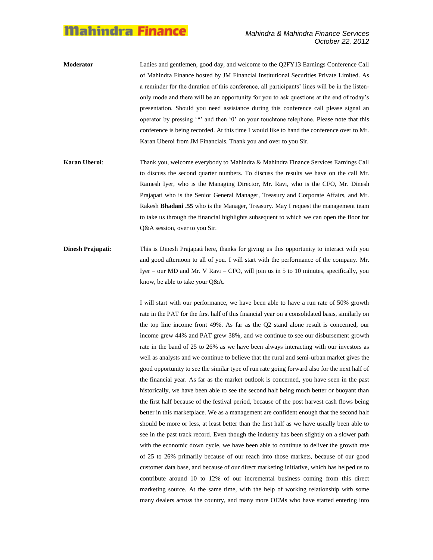- **Moderator** Ladies and gentlemen, good day, and welcome to the Q2FY13 Earnings Conference Call of Mahindra Finance hosted by JM Financial Institutional Securities Private Limited. As a reminder for the duration of this conference, all participants" lines will be in the listenonly mode and there will be an opportunity for you to ask questions at the end of today"s presentation. Should you need assistance during this conference call please signal an operator by pressing "\*" and then "0" on your touchtone telephone. Please note that this conference is being recorded. At this time I would like to hand the conference over to Mr. Karan Uberoi from JM Financials. Thank you and over to you Sir.
- **Karan Uberoi**: Thank you, welcome everybody to Mahindra & Mahindra Finance Services Earnings Call to discuss the second quarter numbers. To discuss the results we have on the call Mr. Ramesh Iyer, who is the Managing Director, Mr. Ravi, who is the CFO, Mr. Dinesh Prajapati who is the Senior General Manager, Treasury and Corporate Affairs, and Mr. Rakesh **Bhadani .55** who is the Manager, Treasury. May I request the management team to take us through the financial highlights subsequent to which we can open the floor for Q&A session, over to you Sir.
- **Dinesh Prajapati**: This is Dinesh Prajapat**i** here, thanks for giving us this opportunity to interact with you and good afternoon to all of you. I will start with the performance of the company. Mr. Iyer – our MD and Mr. V Ravi – CFO, will join us in 5 to 10 minutes, specifically, you know, be able to take your Q&A.

I will start with our performance, we have been able to have a run rate of 50% growth rate in the PAT for the first half of this financial year on a consolidated basis, similarly on the top line income front 49%. As far as the Q2 stand alone result is concerned, our income grew 44% and PAT grew 38%, and we continue to see our disbursement growth rate in the band of 25 to 26% as we have been always interacting with our investors as well as analysts and we continue to believe that the rural and semi-urban market gives the good opportunity to see the similar type of run rate going forward also for the next half of the financial year. As far as the market outlook is concerned, you have seen in the past historically, we have been able to see the second half being much better or buoyant than the first half because of the festival period, because of the post harvest cash flows being better in this marketplace. We as a management are confident enough that the second half should be more or less, at least better than the first half as we have usually been able to see in the past track record. Even though the industry has been slightly on a slower path with the economic down cycle, we have been able to continue to deliver the growth rate of 25 to 26% primarily because of our reach into those markets, because of our good customer data base, and because of our direct marketing initiative, which has helped us to contribute around 10 to 12% of our incremental business coming from this direct marketing source. At the same time, with the help of working relationship with some many dealers across the country, and many more OEMs who have started entering into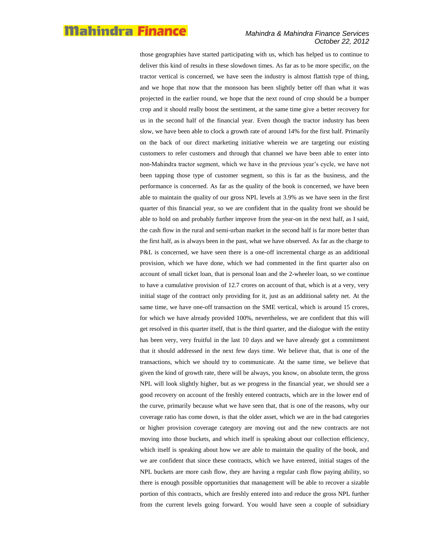#### *Mahindra & Mahindra Finance Services October 22, 2012*

those geographies have started participating with us, which has helped us to continue to deliver this kind of results in these slowdown times. As far as to be more specific, on the tractor vertical is concerned, we have seen the industry is almost flattish type of thing, and we hope that now that the monsoon has been slightly better off than what it was projected in the earlier round, we hope that the next round of crop should be a bumper crop and it should really boost the sentiment, at the same time give a better recovery for us in the second half of the financial year. Even though the tractor industry has been slow, we have been able to clock a growth rate of around 14% for the first half. Primarily on the back of our direct marketing initiative wherein we are targeting our existing customers to refer customers and through that channel we have been able to enter into non-Mahindra tractor segment, which we have in the previous year"s cycle, we have not been tapping those type of customer segment, so this is far as the business, and the performance is concerned. As far as the quality of the book is concerned, we have been able to maintain the quality of our gross NPL levels at 3.9% as we have seen in the first quarter of this financial year, so we are confident that in the quality front we should be able to hold on and probably further improve from the year-on in the next half, as I said, the cash flow in the rural and semi-urban market in the second half is far more better than the first half, as is always been in the past, what we have observed. As far as the charge to P&L is concerned, we have seen there is a one-off incremental charge as an additional provision, which we have done, which we had commented in the first quarter also on account of small ticket loan, that is personal loan and the 2-wheeler loan, so we continue to have a cumulative provision of 12.7 crores on account of that, which is at a very, very initial stage of the contract only providing for it, just as an additional safety net. At the same time, we have one-off transaction on the SME vertical, which is around 15 crores, for which we have already provided 100%, nevertheless, we are confident that this will get resolved in this quarter itself, that is the third quarter, and the dialogue with the entity has been very, very fruitful in the last 10 days and we have already got a commitment that it should addressed in the next few days time. We believe that, that is one of the transactions, which we should try to communicate. At the same time, we believe that given the kind of growth rate, there will be always, you know, on absolute term, the gross NPL will look slightly higher, but as we progress in the financial year, we should see a good recovery on account of the freshly entered contracts, which are in the lower end of the curve, primarily because what we have seen that, that is one of the reasons, why our coverage ratio has come down, is that the older asset, which we are in the bad categories or higher provision coverage category are moving out and the new contracts are not moving into those buckets, and which itself is speaking about our collection efficiency, which itself is speaking about how we are able to maintain the quality of the book, and we are confident that since these contracts, which we have entered, initial stages of the NPL buckets are more cash flow, they are having a regular cash flow paying ability, so there is enough possible opportunities that management will be able to recover a sizable portion of this contracts, which are freshly entered into and reduce the gross NPL further from the current levels going forward. You would have seen a couple of subsidiary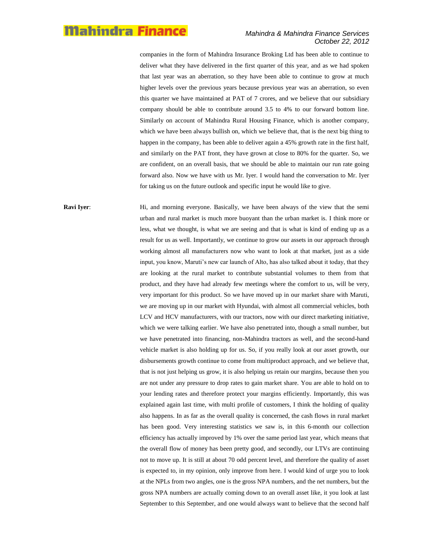#### *Mahindra & Mahindra Finance Services October 22, 2012*

companies in the form of Mahindra Insurance Broking Ltd has been able to continue to deliver what they have delivered in the first quarter of this year, and as we had spoken that last year was an aberration, so they have been able to continue to grow at much higher levels over the previous years because previous year was an aberration, so even this quarter we have maintained at PAT of 7 crores, and we believe that our subsidiary company should be able to contribute around 3.5 to 4% to our forward bottom line. Similarly on account of Mahindra Rural Housing Finance, which is another company, which we have been always bullish on, which we believe that, that is the next big thing to happen in the company, has been able to deliver again a 45% growth rate in the first half, and similarly on the PAT front, they have grown at close to 80% for the quarter. So, we are confident, on an overall basis, that we should be able to maintain our run rate going forward also. Now we have with us Mr. Iyer. I would hand the conversation to Mr. Iyer for taking us on the future outlook and specific input he would like to give.

**Ravi Iyer:** Hi, and morning everyone. Basically, we have been always of the view that the semi urban and rural market is much more buoyant than the urban market is. I think more or less, what we thought, is what we are seeing and that is what is kind of ending up as a result for us as well. Importantly, we continue to grow our assets in our approach through working almost all manufacturers now who want to look at that market, just as a side input, you know, Maruti's new car launch of Alto, has also talked about it today, that they are looking at the rural market to contribute substantial volumes to them from that product, and they have had already few meetings where the comfort to us, will be very, very important for this product. So we have moved up in our market share with Maruti, we are moving up in our market with Hyundai, with almost all commercial vehicles, both LCV and HCV manufacturers, with our tractors, now with our direct marketing initiative, which we were talking earlier. We have also penetrated into, though a small number, but we have penetrated into financing, non-Mahindra tractors as well, and the second-hand vehicle market is also holding up for us. So, if you really look at our asset growth, our disbursements growth continue to come from multiproduct approach, and we believe that, that is not just helping us grow, it is also helping us retain our margins, because then you are not under any pressure to drop rates to gain market share. You are able to hold on to your lending rates and therefore protect your margins efficiently. Importantly, this was explained again last time, with multi profile of customers, I think the holding of quality also happens. In as far as the overall quality is concerned, the cash flows in rural market has been good. Very interesting statistics we saw is, in this 6-month our collection efficiency has actually improved by 1% over the same period last year, which means that the overall flow of money has been pretty good, and secondly, our LTVs are continuing not to move up. It is still at about 70 odd percent level, and therefore the quality of asset is expected to, in my opinion, only improve from here. I would kind of urge you to look at the NPLs from two angles, one is the gross NPA numbers, and the net numbers, but the gross NPA numbers are actually coming down to an overall asset like, it you look at last September to this September, and one would always want to believe that the second half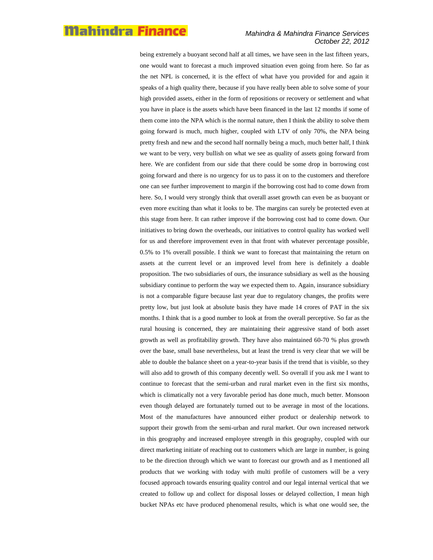#### *Mahindra & Mahindra Finance Services October 22, 2012*

being extremely a buoyant second half at all times, we have seen in the last fifteen years, one would want to forecast a much improved situation even going from here. So far as the net NPL is concerned, it is the effect of what have you provided for and again it speaks of a high quality there, because if you have really been able to solve some of your high provided assets, either in the form of repositions or recovery or settlement and what you have in place is the assets which have been financed in the last 12 months if some of them come into the NPA which is the normal nature, then I think the ability to solve them going forward is much, much higher, coupled with LTV of only 70%, the NPA being pretty fresh and new and the second half normally being a much, much better half, I think we want to be very, very bullish on what we see as quality of assets going forward from here. We are confident from our side that there could be some drop in borrowing cost going forward and there is no urgency for us to pass it on to the customers and therefore one can see further improvement to margin if the borrowing cost had to come down from here. So, I would very strongly think that overall asset growth can even be as buoyant or even more exciting than what it looks to be. The margins can surely be protected even at this stage from here. It can rather improve if the borrowing cost had to come down. Our initiatives to bring down the overheads, our initiatives to control quality has worked well for us and therefore improvement even in that front with whatever percentage possible, 0.5% to 1% overall possible. I think we want to forecast that maintaining the return on assets at the current level or an improved level from here is definitely a doable proposition. The two subsidiaries of ours, the insurance subsidiary as well as the housing subsidiary continue to perform the way we expected them to. Again, insurance subsidiary is not a comparable figure because last year due to regulatory changes, the profits were pretty low, but just look at absolute basis they have made 14 crores of PAT in the six months. I think that is a good number to look at from the overall perceptive. So far as the rural housing is concerned, they are maintaining their aggressive stand of both asset growth as well as profitability growth. They have also maintained 60-70 % plus growth over the base, small base nevertheless, but at least the trend is very clear that we will be able to double the balance sheet on a year-to-year basis if the trend that is visible, so they will also add to growth of this company decently well. So overall if you ask me I want to continue to forecast that the semi-urban and rural market even in the first six months, which is climatically not a very favorable period has done much, much better. Monsoon even though delayed are fortunately turned out to be average in most of the locations. Most of the manufactures have announced either product or dealership network to support their growth from the semi-urban and rural market. Our own increased network in this geography and increased employee strength in this geography, coupled with our direct marketing initiate of reaching out to customers which are large in number, is going to be the direction through which we want to forecast our growth and as I mentioned all products that we working with today with multi profile of customers will be a very focused approach towards ensuring quality control and our legal internal vertical that we created to follow up and collect for disposal losses or delayed collection, I mean high bucket NPAs etc have produced phenomenal results, which is what one would see, the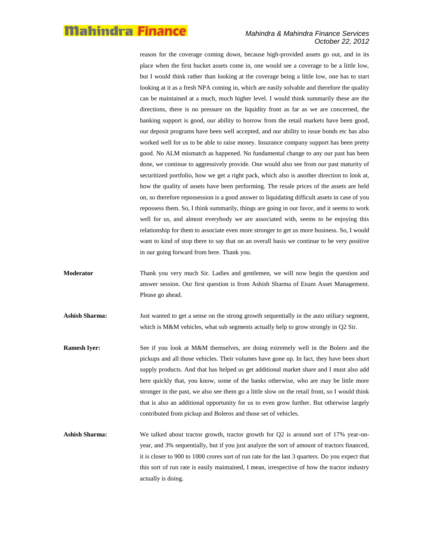#### *Mahindra & Mahindra Finance Services October 22, 2012*

reason for the coverage coming down, because high-provided assets go out, and in its place when the first bucket assets come in, one would see a coverage to be a little low, but I would think rather than looking at the coverage being a little low, one has to start looking at it as a fresh NPA coming in, which are easily solvable and therefore the quality can be maintained at a much, much higher level. I would think summarily these are the directions, there is no pressure on the liquidity front as far as we are concerned, the banking support is good, our ability to borrow from the retail markets have been good, our deposit programs have been well accepted, and our ability to issue bonds etc has also worked well for us to be able to raise money. Insurance company support has been pretty good. No ALM mismatch as happened. No fundamental change to any our past has been done, we continue to aggressively provide. One would also see from our past maturity of securitized portfolio, how we get a right pack, which also is another direction to look at, how the quality of assets have been performing. The resale prices of the assets are held on, so therefore repossession is a good answer to liquidating difficult assets in case of you repossess them. So, I think summarily, things are going in our favor, and it seems to work well for us, and almost everybody we are associated with, seems to be enjoying this relationship for them to associate even more stronger to get us more business. So, I would want to kind of stop there to say that on an overall basis we continue to be very positive in our going forward from here. Thank you.

- **Moderator** Thank you very much Sir. Ladies and gentlemen, we will now begin the question and answer session. Our first question is from Ashish Sharma of Enam Asset Management. Please go ahead.
- Ashish Sharma: Just wanted to get a sense on the strong growth sequentially in the auto utiliary segment, which is M&M vehicles, what sub segments actually help to grow strongly in Q2 Sir.
- **Ramesh Iyer:** See if you look at M&M themselves, are doing extremely well in the Bolero and the pickups and all those vehicles. Their volumes have gone up. In fact, they have been short supply products. And that has helped us get additional market share and I must also add here quickly that, you know, some of the banks otherwise, who are may be little more stronger in the past, we also see them go a little slow on the retail front, so I would think that is also an additional opportunity for us to even grow further. But otherwise largely contributed from pickup and Boleros and those set of vehicles.
- Ashish Sharma: We talked about tractor growth, tractor growth for Q2 is around sort of 17% year-onyear, and 3% sequentially, but if you just analyze the sort of amount of tractors financed, it is closer to 900 to 1000 crores sort of run rate for the last 3 quarters. Do you expect that this sort of run rate is easily maintained, I mean, irrespective of how the tractor industry actually is doing.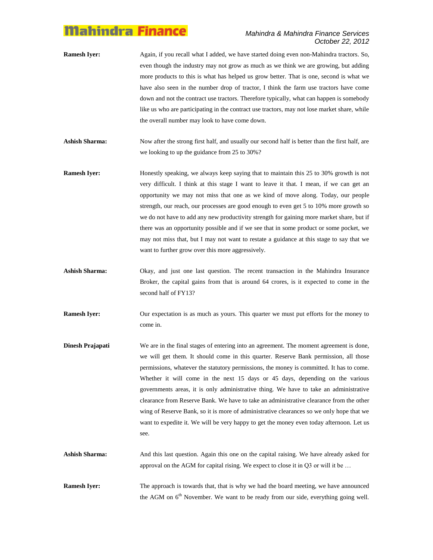#### *Mahindra & Mahindra Finance Services October 22, 2012*

- **Ramesh Iyer:** Again, if you recall what I added, we have started doing even non-Mahindra tractors. So, even though the industry may not grow as much as we think we are growing, but adding more products to this is what has helped us grow better. That is one, second is what we have also seen in the number drop of tractor, I think the farm use tractors have come down and not the contract use tractors. Therefore typically, what can happen is somebody like us who are participating in the contract use tractors, may not lose market share, while the overall number may look to have come down.
- **Ashish Sharma:** Now after the strong first half, and usually our second half is better than the first half, are we looking to up the guidance from 25 to 30%?
- **Ramesh Iyer:** Honestly speaking, we always keep saying that to maintain this 25 to 30% growth is not very difficult. I think at this stage I want to leave it that. I mean, if we can get an opportunity we may not miss that one as we kind of move along. Today, our people strength, our reach, our processes are good enough to even get 5 to 10% more growth so we do not have to add any new productivity strength for gaining more market share, but if there was an opportunity possible and if we see that in some product or some pocket, we may not miss that, but I may not want to restate a guidance at this stage to say that we want to further grow over this more aggressively.
- **Ashish Sharma:** Okay, and just one last question. The recent transaction in the Mahindra Insurance Broker, the capital gains from that is around 64 crores, is it expected to come in the second half of FY13?
- **Ramesh Iyer:** Our expectation is as much as yours. This quarter we must put efforts for the money to come in.
- **Dinesh Prajapati** We are in the final stages of entering into an agreement. The moment agreement is done, we will get them. It should come in this quarter. Reserve Bank permission, all those permissions, whatever the statutory permissions, the money is committed. It has to come. Whether it will come in the next 15 days or 45 days, depending on the various governments areas, it is only administrative thing. We have to take an administrative clearance from Reserve Bank. We have to take an administrative clearance from the other wing of Reserve Bank, so it is more of administrative clearances so we only hope that we want to expedite it. We will be very happy to get the money even today afternoon. Let us see.
- Ashish Sharma: And this last question. Again this one on the capital raising. We have already asked for approval on the AGM for capital rising. We expect to close it in Q3 or will it be …

**Ramesh Iyer:** The approach is towards that, that is why we had the board meeting, we have announced the AGM on  $6<sup>th</sup>$  November. We want to be ready from our side, everything going well.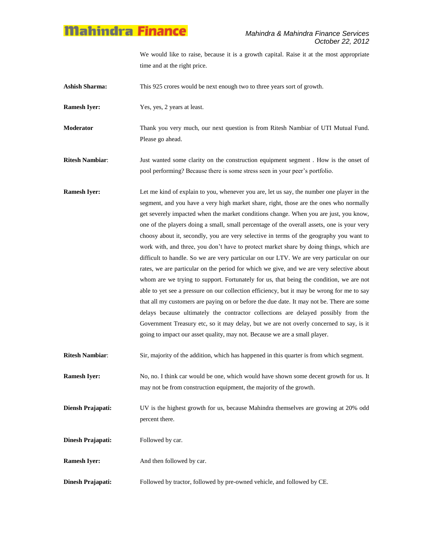We would like to raise, because it is a growth capital. Raise it at the most appropriate time and at the right price.

Ashish Sharma: This 925 crores would be next enough two to three years sort of growth.

**Ramesh Iyer:** Yes, yes, 2 years at least.

**Moderator** Thank you very much, our next question is from Ritesh Nambiar of UTI Mutual Fund. Please go ahead.

**Ritesh Nambiar**: Just wanted some clarity on the construction equipment segment . How is the onset of pool performing? Because there is some stress seen in your peer"s portfolio.

**Ramesh Iyer:** Let me kind of explain to you, whenever you are, let us say, the number one player in the segment, and you have a very high market share, right, those are the ones who normally get severely impacted when the market conditions change. When you are just, you know, one of the players doing a small, small percentage of the overall assets, one is your very choosy about it, secondly, you are very selective in terms of the geography you want to work with, and three, you don't have to protect market share by doing things, which are difficult to handle. So we are very particular on our LTV. We are very particular on our rates, we are particular on the period for which we give, and we are very selective about whom are we trying to support. Fortunately for us, that being the condition, we are not able to yet see a pressure on our collection efficiency, but it may be wrong for me to say that all my customers are paying on or before the due date. It may not be. There are some delays because ultimately the contractor collections are delayed possibly from the Government Treasury etc, so it may delay, but we are not overly concerned to say, is it going to impact our asset quality, may not. Because we are a small player.

**Ritesh Nambiar:** Sir, majority of the addition, which has happened in this quarter is from which segment.

**Ramesh Iyer:** No, no. I think car would be one, which would have shown some decent growth for us. It may not be from construction equipment, the majority of the growth.

**Diensh Prajapati:** UV is the highest growth for us, because Mahindra themselves are growing at 20% odd percent there.

**Dinesh Prajapati:** Followed by car.

**Ramesh Iver:** And then followed by car.

**Dinesh Prajapati:** Followed by tractor, followed by pre-owned vehicle, and followed by CE.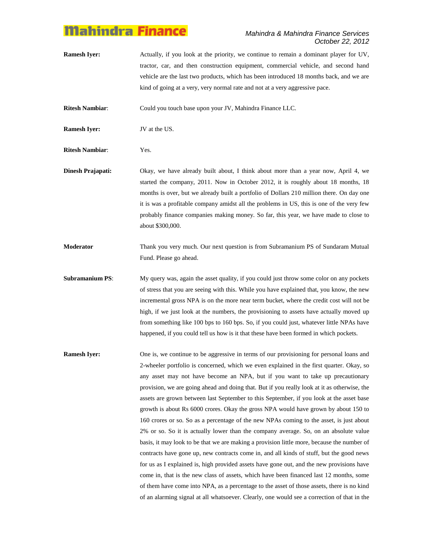#### *Mahindra & Mahindra Finance Services October 22, 2012*

**Ramesh Iyer:** Actually, if you look at the priority, we continue to remain a dominant player for UV, tractor, car, and then construction equipment, commercial vehicle, and second hand vehicle are the last two products, which has been introduced 18 months back, and we are kind of going at a very, very normal rate and not at a very aggressive pace.

**Ritesh Nambiar**: Could you touch base upon your JV, Mahindra Finance LLC.

**Ramesh Iyer:** JV at the US.

**Ritesh Nambiar**: Yes.

- **Dinesh Prajapati:** Okay, we have already built about, I think about more than a year now, April 4, we started the company, 2011. Now in October 2012, it is roughly about 18 months, 18 months is over, but we already built a portfolio of Dollars 210 million there. On day one it is was a profitable company amidst all the problems in US, this is one of the very few probably finance companies making money. So far, this year, we have made to close to about \$300,000.
- **Moderator** Thank you very much. Our next question is from Subramanium PS of Sundaram Mutual Fund. Please go ahead.
- **Subramanium PS:** My query was, again the asset quality, if you could just throw some color on any pockets of stress that you are seeing with this. While you have explained that, you know, the new incremental gross NPA is on the more near term bucket, where the credit cost will not be high, if we just look at the numbers, the provisioning to assets have actually moved up from something like 100 bps to 160 bps. So, if you could just, whatever little NPAs have happened, if you could tell us how is it that these have been formed in which pockets.
- **Ramesh Iyer:** One is, we continue to be aggressive in terms of our provisioning for personal loans and 2-wheeler portfolio is concerned, which we even explained in the first quarter. Okay, so any asset may not have become an NPA, but if you want to take up precautionary provision, we are going ahead and doing that. But if you really look at it as otherwise, the assets are grown between last September to this September, if you look at the asset base growth is about Rs 6000 crores. Okay the gross NPA would have grown by about 150 to 160 crores or so. So as a percentage of the new NPAs coming to the asset, is just about 2% or so. So it is actually lower than the company average. So, on an absolute value basis, it may look to be that we are making a provision little more, because the number of contracts have gone up, new contracts come in, and all kinds of stuff, but the good news for us as I explained is, high provided assets have gone out, and the new provisions have come in, that is the new class of assets, which have been financed last 12 months, some of them have come into NPA, as a percentage to the asset of those assets, there is no kind of an alarming signal at all whatsoever. Clearly, one would see a correction of that in the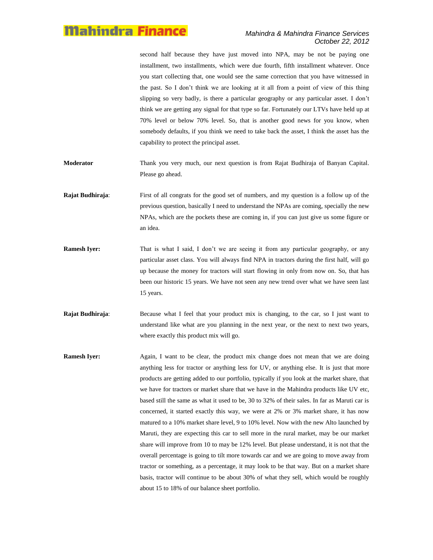second half because they have just moved into NPA, may be not be paying one installment, two installments, which were due fourth, fifth installment whatever. Once you start collecting that, one would see the same correction that you have witnessed in the past. So I don"t think we are looking at it all from a point of view of this thing slipping so very badly, is there a particular geography or any particular asset. I don"t think we are getting any signal for that type so far. Fortunately our LTVs have held up at 70% level or below 70% level. So, that is another good news for you know, when somebody defaults, if you think we need to take back the asset, I think the asset has the capability to protect the principal asset.

- **Moderator** Thank you very much, our next question is from Rajat Budhiraja of Banyan Capital. Please go ahead.
- **Rajat Budhiraja**: First of all congrats for the good set of numbers, and my question is a follow up of the previous question, basically I need to understand the NPAs are coming, specially the new NPAs, which are the pockets these are coming in, if you can just give us some figure or an idea.
- **Ramesh Iyer:** That is what I said, I don't we are seeing it from any particular geography, or any particular asset class. You will always find NPA in tractors during the first half, will go up because the money for tractors will start flowing in only from now on. So, that has been our historic 15 years. We have not seen any new trend over what we have seen last 15 years.
- **Rajat Budhiraja:** Because what I feel that your product mix is changing, to the car, so I just want to understand like what are you planning in the next year, or the next to next two years, where exactly this product mix will go.
- **Ramesh Iyer:** Again, I want to be clear, the product mix change does not mean that we are doing anything less for tractor or anything less for UV, or anything else. It is just that more products are getting added to our portfolio, typically if you look at the market share, that we have for tractors or market share that we have in the Mahindra products like UV etc, based still the same as what it used to be, 30 to 32% of their sales. In far as Maruti car is concerned, it started exactly this way, we were at 2% or 3% market share, it has now matured to a 10% market share level, 9 to 10% level. Now with the new Alto launched by Maruti, they are expecting this car to sell more in the rural market, may be our market share will improve from 10 to may be 12% level. But please understand, it is not that the overall percentage is going to tilt more towards car and we are going to move away from tractor or something, as a percentage, it may look to be that way. But on a market share basis, tractor will continue to be about 30% of what they sell, which would be roughly about 15 to 18% of our balance sheet portfolio.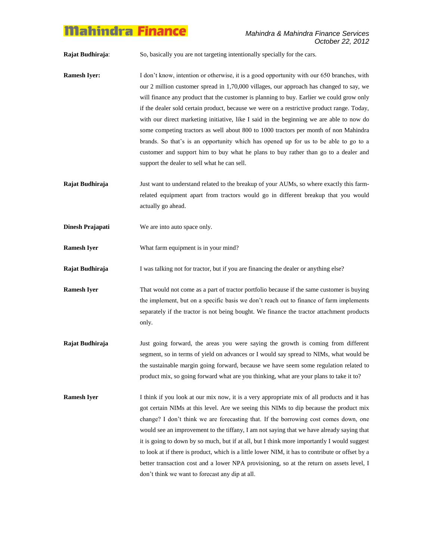**Rajat Budhiraja**: So, basically you are not targeting intentionally specially for the cars.

- **Ramesh Iyer:** I don't know, intention or otherwise, it is a good opportunity with our 650 branches, with our 2 million customer spread in 1,70,000 villages, our approach has changed to say, we will finance any product that the customer is planning to buy. Earlier we could grow only if the dealer sold certain product, because we were on a restrictive product range. Today, with our direct marketing initiative, like I said in the beginning we are able to now do some competing tractors as well about 800 to 1000 tractors per month of non Mahindra brands. So that"s is an opportunity which has opened up for us to be able to go to a customer and support him to buy what he plans to buy rather than go to a dealer and support the dealer to sell what he can sell.
- **Rajat Budhiraja** Just want to understand related to the breakup of your AUMs, so where exactly this farmrelated equipment apart from tractors would go in different breakup that you would actually go ahead.
- **Dinesh Prajapati** We are into auto space only.
- **Ramesh Iyer** What farm equipment is in your mind?
- **Rajat Budhiraja** I was talking not for tractor, but if you are financing the dealer or anything else?
- **Ramesh Iyer** That would not come as a part of tractor portfolio because if the same customer is buying the implement, but on a specific basis we don"t reach out to finance of farm implements separately if the tractor is not being bought. We finance the tractor attachment products only.
- **Rajat Budhiraja** Just going forward, the areas you were saying the growth is coming from different segment, so in terms of yield on advances or I would say spread to NIMs, what would be the sustainable margin going forward, because we have seem some regulation related to product mix, so going forward what are you thinking, what are your plans to take it to?
- **Ramesh Iyer** I think if you look at our mix now, it is a very appropriate mix of all products and it has got certain NIMs at this level. Are we seeing this NIMs to dip because the product mix change? I don"t think we are forecasting that. If the borrowing cost comes down, one would see an improvement to the tiffany, I am not saying that we have already saying that it is going to down by so much, but if at all, but I think more importantly I would suggest to look at if there is product, which is a little lower NIM, it has to contribute or offset by a better transaction cost and a lower NPA provisioning, so at the return on assets level, I don"t think we want to forecast any dip at all.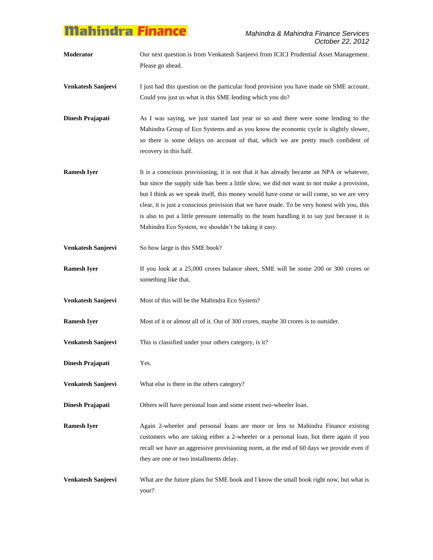- **Moderator** Our next question is from Venkatesh Sanjeevi from ICICI Prudential Asset Management. Please go ahead.
- **Venkatesh Sanjeevi** I just had this question on the particular food provision you have made on SME account. Could you just us what is this SME lending which you do?
- **Dinesh Prajapati** As I was saying, we just started last year or so and there were some lending to the Mahindra Group of Eco Systems and as you know the economic cycle is slightly slower, so there is some delays on account of that, which we are pretty much confident of recovery in this half.
- **Ramesh Iyer** It is a conscious provisioning, it is not that it has already became an NPA or whatever, but since the supply side has been a little slow, we did not want to not make a provision, but I think as we speak itself, this money would have come or will come, so we are very clear, it is just a conscious provision that we have made. To be very honest with you, this is also to put a little pressure internally to the team handling it to say just because it is Mahindra Eco System, we shouldn"t be taking it easy.
- **Venkatesh Sanjeevi** So how large is this SME book?
- **Ramesh Iyer** If you look at a 25,000 crores balance sheet, SME will be some 200 or 300 crores or something like that.
- **Venkatesh Sanjeevi** Most of this will be the Mahindra Eco System?
- **Ramesh Iyer** Most of it or almost all of it. Out of 300 crores, maybe 30 crores is to outsider.
- **Venkatesh Sanjeevi** This is classified under your others category, is it?
- **Dinesh Prajapati** Yes.
- **Venkatesh Sanjeevi** What else is there in the others category?
- **Dinesh Prajapati** Others will have personal loan and some extent two-wheeler loan.
- **Ramesh Iyer** Again 2-wheeler and personal loans are more or less to Mahindra Finance existing customers who are taking either a 2-wheeler or a personal loan, but there again if you recall we have an aggressive provisioning norm, at the end of 60 days we provide even if they are one or two installments delay.
- **Venkatesh Sanjeevi** What are the future plans for SME book and I know the small book right now, but what is your?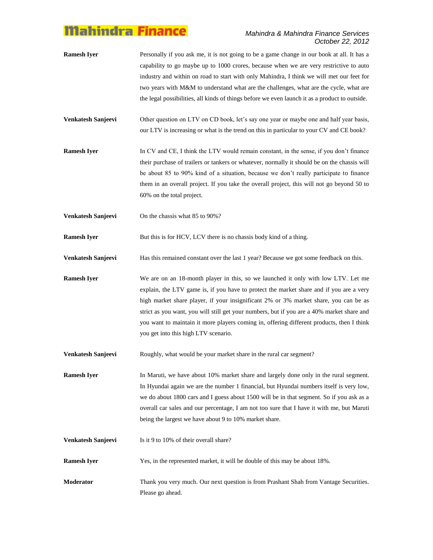#### *Mahindra & Mahindra Finance Services October 22, 2012*

- **Ramesh Iyer** Personally if you ask me, it is not going to be a game change in our book at all. It has a capability to go maybe up to 1000 crores, because when we are very restrictive to auto industry and within on road to start with only Mahindra, I think we will met our feet for two years with M&M to understand what are the challenges, what are the cycle, what are the legal possibilities, all kinds of things before we even launch it as a product to outside.
- **Venkatesh Sanjeevi** Other question on LTV on CD book, let's say one year or maybe one and half year basis, our LTV is increasing or what is the trend on this in particular to your CV and CE book?
- **Ramesh Iyer** In CV and CE, I think the LTV would remain constant, in the sense, if you don't finance their purchase of trailers or tankers or whatever, normally it should be on the chassis will be about 85 to 90% kind of a situation, because we don"t really participate to finance them in an overall project. If you take the overall project, this will not go beyond 50 to 60% on the total project.
- **Venkatesh Sanjeevi** On the chassis what 85 to 90%?

**Ramesh Iyer** But this is for HCV, LCV there is no chassis body kind of a thing.

**Venkatesh Sanjeevi** Has this remained constant over the last 1 year? Because we got some feedback on this.

**Ramesh Iyer** We are on an 18-month player in this, so we launched it only with low LTV. Let me explain, the LTV game is, if you have to protect the market share and if you are a very high market share player, if your insignificant 2% or 3% market share, you can be as strict as you want, you will still get your numbers, but if you are a 40% market share and you want to maintain it more players coming in, offering different products, then I think you get into this high LTV scenario.

**Venkatesh Sanjeevi** Roughly, what would be your market share in the rural car segment?

**Ramesh Iyer** In Maruti, we have about 10% market share and largely done only in the rural segment. In Hyundai again we are the number 1 financial, but Hyundai numbers itself is very low, we do about 1800 cars and I guess about 1500 will be in that segment. So if you ask as a overall car sales and our percentage, I am not too sure that I have it with me, but Maruti being the largest we have about 9 to 10% market share.

**Venkatesh Sanjeevi** Is it 9 to 10% of their overall share?

**Ramesh Iver** Yes, in the represented market, it will be double of this may be about 18%.

**Moderator** Thank you very much. Our next question is from Prashant Shah from Vantage Securities. Please go ahead.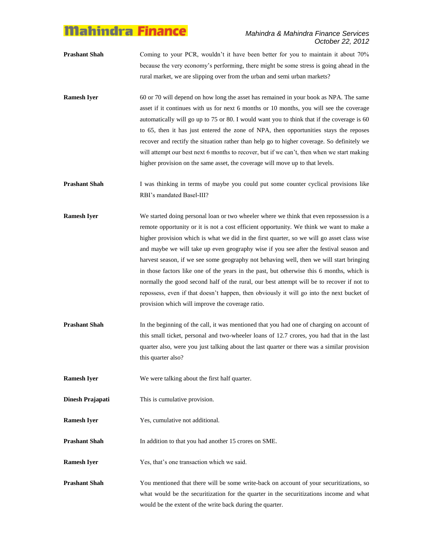- **Prashant Shah** Coming to your PCR, wouldn't it have been better for you to maintain it about 70% because the very economy"s performing, there might be some stress is going ahead in the rural market, we are slipping over from the urban and semi urban markets?
- **Ramesh Iyer** 60 or 70 will depend on how long the asset has remained in your book as NPA. The same asset if it continues with us for next 6 months or 10 months, you will see the coverage automatically will go up to 75 or 80. I would want you to think that if the coverage is 60 to 65, then it has just entered the zone of NPA, then opportunities stays the reposes recover and rectify the situation rather than help go to higher coverage. So definitely we will attempt our best next 6 months to recover, but if we can't, then when we start making higher provision on the same asset, the coverage will move up to that levels.

**Prashant Shah** I was thinking in terms of maybe you could put some counter cyclical provisions like RBI"s mandated Basel-III?

- **Ramesh Iyer** We started doing personal loan or two wheeler where we think that even repossession is a remote opportunity or it is not a cost efficient opportunity. We think we want to make a higher provision which is what we did in the first quarter, so we will go asset class wise and maybe we will take up even geography wise if you see after the festival season and harvest season, if we see some geography not behaving well, then we will start bringing in those factors like one of the years in the past, but otherwise this 6 months, which is normally the good second half of the rural, our best attempt will be to recover if not to repossess, even if that doesn"t happen, then obviously it will go into the next bucket of provision which will improve the coverage ratio.
- **Prashant Shah** In the beginning of the call, it was mentioned that you had one of charging on account of this small ticket, personal and two-wheeler loans of 12.7 crores, you had that in the last quarter also, were you just talking about the last quarter or there was a similar provision this quarter also?

**Ramesh Iyer** We were talking about the first half quarter.

- **Dinesh Prajapati** This is cumulative provision.
- **Ramesh Iver** Yes, cumulative not additional.

**Prashant Shah** In addition to that you had another 15 crores on SME.

- **Ramesh Iyer** Yes, that's one transaction which we said.
- **Prashant Shah** You mentioned that there will be some write-back on account of your securitizations, so what would be the securitization for the quarter in the securitizations income and what would be the extent of the write back during the quarter.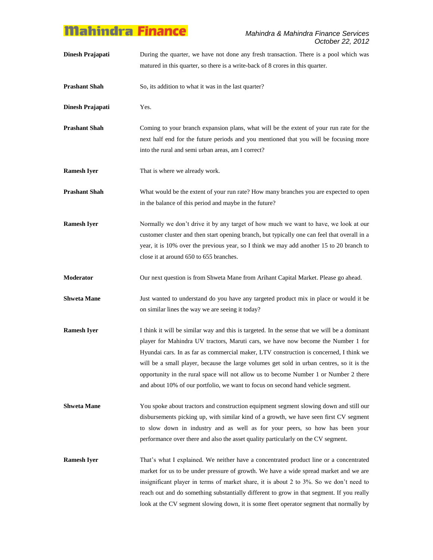**Dinesh Prajapati** During the quarter, we have not done any fresh transaction. There is a pool which was matured in this quarter, so there is a write-back of 8 crores in this quarter.

**Prashant Shah** So, its addition to what it was in the last quarter?

**Dinesh Prajapati** Yes.

- **Prashant Shah** Coming to your branch expansion plans, what will be the extent of your run rate for the next half end for the future periods and you mentioned that you will be focusing more into the rural and semi urban areas, am I correct?
- **Ramesh Iyer** That is where we already work.
- **Prashant Shah** What would be the extent of your run rate? How many branches you are expected to open in the balance of this period and maybe in the future?
- **Ramesh Iyer** Normally we don't drive it by any target of how much we want to have, we look at our customer cluster and then start opening branch, but typically one can feel that overall in a year, it is 10% over the previous year, so I think we may add another 15 to 20 branch to close it at around 650 to 655 branches.
- **Moderator** Our next question is from Shweta Mane from Arihant Capital Market. Please go ahead.
- **Shweta Mane** Just wanted to understand do you have any targeted product mix in place or would it be on similar lines the way we are seeing it today?
- **Ramesh Iyer** I think it will be similar way and this is targeted. In the sense that we will be a dominant player for Mahindra UV tractors, Maruti cars, we have now become the Number 1 for Hyundai cars. In as far as commercial maker, LTV construction is concerned, I think we will be a small player, because the large volumes get sold in urban centres, so it is the opportunity in the rural space will not allow us to become Number 1 or Number 2 there and about 10% of our portfolio, we want to focus on second hand vehicle segment.
- **Shweta Mane** You spoke about tractors and construction equipment segment slowing down and still our disbursements picking up, with similar kind of a growth, we have seen first CV segment to slow down in industry and as well as for your peers, so how has been your performance over there and also the asset quality particularly on the CV segment.

**Ramesh Iyer** That's what I explained. We neither have a concentrated product line or a concentrated market for us to be under pressure of growth. We have a wide spread market and we are insignificant player in terms of market share, it is about 2 to 3%. So we don"t need to reach out and do something substantially different to grow in that segment. If you really look at the CV segment slowing down, it is some fleet operator segment that normally by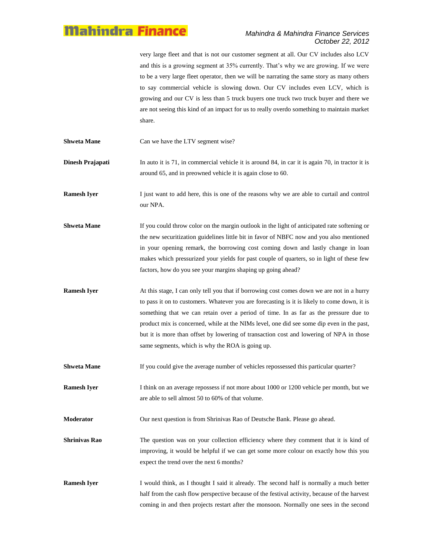very large fleet and that is not our customer segment at all. Our CV includes also LCV and this is a growing segment at 35% currently. That"s why we are growing. If we were to be a very large fleet operator, then we will be narrating the same story as many others to say commercial vehicle is slowing down. Our CV includes even LCV, which is growing and our CV is less than 5 truck buyers one truck two truck buyer and there we are not seeing this kind of an impact for us to really overdo something to maintain market share.

**Shweta Mane** Can we have the LTV segment wise?

**Dinesh Prajapati** In auto it is 71, in commercial vehicle it is around 84, in car it is again 70, in tractor it is around 65, and in preowned vehicle it is again close to 60.

**Ramesh Iver** I just want to add here, this is one of the reasons why we are able to curtail and control our NPA.

**Shweta Mane** If you could throw color on the margin outlook in the light of anticipated rate softening or the new securitization guidelines little bit in favor of NBFC now and you also mentioned in your opening remark, the borrowing cost coming down and lastly change in loan makes which pressurized your yields for past couple of quarters, so in light of these few factors, how do you see your margins shaping up going ahead?

**Ramesh Iyer** At this stage, I can only tell you that if borrowing cost comes down we are not in a hurry to pass it on to customers. Whatever you are forecasting is it is likely to come down, it is something that we can retain over a period of time. In as far as the pressure due to product mix is concerned, while at the NIMs level, one did see some dip even in the past, but it is more than offset by lowering of transaction cost and lowering of NPA in those same segments, which is why the ROA is going up.

**Shweta Mane** If you could give the average number of vehicles repossessed this particular quarter?

**Ramesh Iyer** I think on an average repossess if not more about 1000 or 1200 vehicle per month, but we are able to sell almost 50 to 60% of that volume.

**Moderator** Our next question is from Shrinivas Rao of Deutsche Bank. Please go ahead.

**Shrinivas Rao** The question was on your collection efficiency where they comment that it is kind of improving, it would be helpful if we can get some more colour on exactly how this you expect the trend over the next 6 months?

**Ramesh Iyer** I would think, as I thought I said it already. The second half is normally a much better half from the cash flow perspective because of the festival activity, because of the harvest coming in and then projects restart after the monsoon. Normally one sees in the second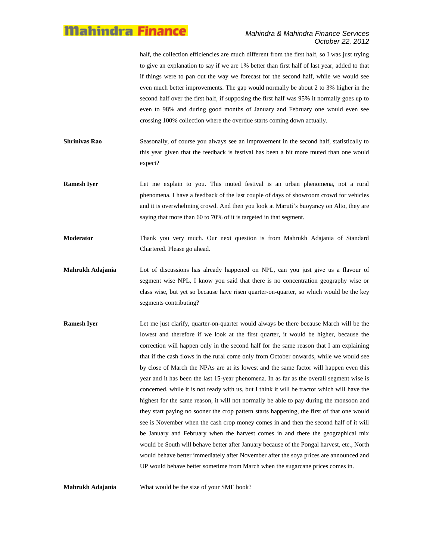#### *Mahindra & Mahindra Finance Services October 22, 2012*

half, the collection efficiencies are much different from the first half, so I was just trying to give an explanation to say if we are 1% better than first half of last year, added to that if things were to pan out the way we forecast for the second half, while we would see even much better improvements. The gap would normally be about 2 to 3% higher in the second half over the first half, if supposing the first half was 95% it normally goes up to even to 98% and during good months of January and February one would even see crossing 100% collection where the overdue starts coming down actually.

- **Shrinivas Rao** Seasonally, of course you always see an improvement in the second half, statistically to this year given that the feedback is festival has been a bit more muted than one would expect?
- **Ramesh Iyer** Let me explain to you. This muted festival is an urban phenomena, not a rural phenomena. I have a feedback of the last couple of days of showroom crowd for vehicles and it is overwhelming crowd. And then you look at Maruti's buoyancy on Alto, they are saying that more than 60 to 70% of it is targeted in that segment.
- **Moderator** Thank you very much. Our next question is from Mahrukh Adajania of Standard Chartered. Please go ahead.
- **Mahrukh Adajania** Lot of discussions has already happened on NPL, can you just give us a flavour of segment wise NPL, I know you said that there is no concentration geography wise or class wise, but yet so because have risen quarter-on-quarter, so which would be the key segments contributing?
- **Ramesh Iyer** Let me just clarify, quarter-on-quarter would always be there because March will be the lowest and therefore if we look at the first quarter, it would be higher, because the correction will happen only in the second half for the same reason that I am explaining that if the cash flows in the rural come only from October onwards, while we would see by close of March the NPAs are at its lowest and the same factor will happen even this year and it has been the last 15-year phenomena. In as far as the overall segment wise is concerned, while it is not ready with us, but I think it will be tractor which will have the highest for the same reason, it will not normally be able to pay during the monsoon and they start paying no sooner the crop pattern starts happening, the first of that one would see is November when the cash crop money comes in and then the second half of it will be January and February when the harvest comes in and there the geographical mix would be South will behave better after January because of the Pongal harvest, etc., North would behave better immediately after November after the soya prices are announced and UP would behave better sometime from March when the sugarcane prices comes in.

**Mahrukh Adajania** What would be the size of your SME book?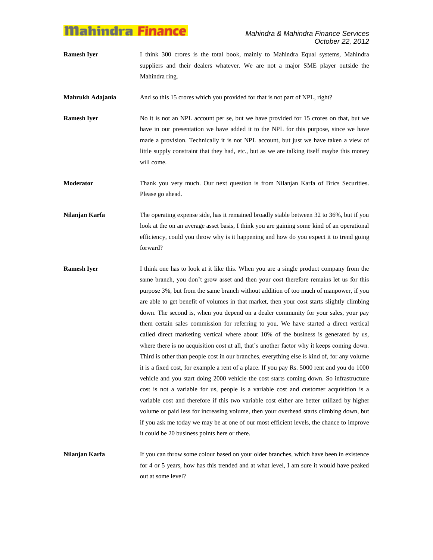**Ramesh Iyer** I think 300 crores is the total book, mainly to Mahindra Equal systems, Mahindra suppliers and their dealers whatever. We are not a major SME player outside the Mahindra ring.

**Mahrukh Adajania** And so this 15 crores which you provided for that is not part of NPL, right?

**Ramesh Iyer** No it is not an NPL account per se, but we have provided for 15 crores on that, but we have in our presentation we have added it to the NPL for this purpose, since we have made a provision. Technically it is not NPL account, but just we have taken a view of little supply constraint that they had, etc., but as we are talking itself maybe this money will come.

**Moderator** Thank you very much. Our next question is from Nilanjan Karfa of Brics Securities. Please go ahead.

**Nilanjan Karfa** The operating expense side, has it remained broadly stable between 32 to 36%, but if you look at the on an average asset basis, I think you are gaining some kind of an operational efficiency, could you throw why is it happening and how do you expect it to trend going forward?

**Ramesh Iyer** I think one has to look at it like this. When you are a single product company from the same branch, you don't grow asset and then your cost therefore remains let us for this purpose 3%, but from the same branch without addition of too much of manpower, if you are able to get benefit of volumes in that market, then your cost starts slightly climbing down. The second is, when you depend on a dealer community for your sales, your pay them certain sales commission for referring to you. We have started a direct vertical called direct marketing vertical where about 10% of the business is generated by us, where there is no acquisition cost at all, that's another factor why it keeps coming down. Third is other than people cost in our branches, everything else is kind of, for any volume it is a fixed cost, for example a rent of a place. If you pay Rs. 5000 rent and you do 1000 vehicle and you start doing 2000 vehicle the cost starts coming down. So infrastructure cost is not a variable for us, people is a variable cost and customer acquisition is a variable cost and therefore if this two variable cost either are better utilized by higher volume or paid less for increasing volume, then your overhead starts climbing down, but if you ask me today we may be at one of our most efficient levels, the chance to improve it could be 20 business points here or there.

**Nilanjan Karfa** If you can throw some colour based on your older branches, which have been in existence for 4 or 5 years, how has this trended and at what level, I am sure it would have peaked out at some level?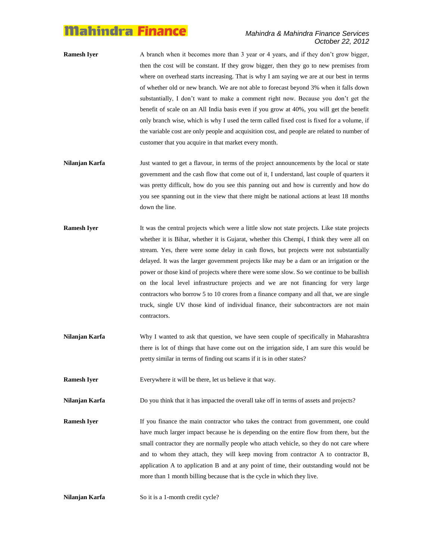#### *Mahindra & Mahindra Finance Services October 22, 2012*

- **Ramesh Iyer** A branch when it becomes more than 3 year or 4 years, and if they don't grow bigger, then the cost will be constant. If they grow bigger, then they go to new premises from where on overhead starts increasing. That is why I am saying we are at our best in terms of whether old or new branch. We are not able to forecast beyond 3% when it falls down substantially, I don"t want to make a comment right now. Because you don"t get the benefit of scale on an All India basis even if you grow at 40%, you will get the benefit only branch wise, which is why I used the term called fixed cost is fixed for a volume, if the variable cost are only people and acquisition cost, and people are related to number of customer that you acquire in that market every month.
- **Nilanjan Karfa** Just wanted to get a flavour, in terms of the project announcements by the local or state government and the cash flow that come out of it, I understand, last couple of quarters it was pretty difficult, how do you see this panning out and how is currently and how do you see spanning out in the view that there might be national actions at least 18 months down the line.
- **Ramesh Iyer** It was the central projects which were a little slow not state projects. Like state projects whether it is Bihar, whether it is Gujarat, whether this Chempi, I think they were all on stream. Yes, there were some delay in cash flows, but projects were not substantially delayed. It was the larger government projects like may be a dam or an irrigation or the power or those kind of projects where there were some slow. So we continue to be bullish on the local level infrastructure projects and we are not financing for very large contractors who borrow 5 to 10 crores from a finance company and all that, we are single truck, single UV those kind of individual finance, their subcontractors are not main contractors.
- **Nilanjan Karfa** Why I wanted to ask that question, we have seen couple of specifically in Maharashtra there is lot of things that have come out on the irrigation side, I am sure this would be pretty similar in terms of finding out scams if it is in other states?

**Ramesh Iyer** Everywhere it will be there, let us believe it that way.

**Nilanjan Karfa** Do you think that it has impacted the overall take off in terms of assets and projects?

**Ramesh Iver** If you finance the main contractor who takes the contract from government, one could have much larger impact because he is depending on the entire flow from there, but the small contractor they are normally people who attach vehicle, so they do not care where and to whom they attach, they will keep moving from contractor A to contractor B, application A to application B and at any point of time, their outstanding would not be more than 1 month billing because that is the cycle in which they live.

**Nilanjan Karfa** So it is a 1-month credit cycle?